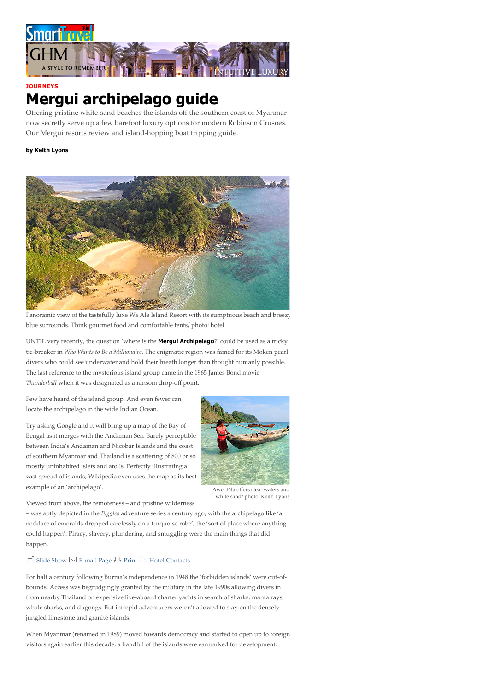

### **JOURNEYS**

# Mergui archipelago guide

Offering pristine white-sand beaches the islands off the southern coast of Myanmar now secretly serve up a few barefoot luxury options for modern Robinson Crusoes. Our Mergui resorts review and island-hopping boat tripping guide.

### by Keith Lyons



Panoramic view of the tastefully luxe Wa Ale Island Resort with its sumptuous beach and breezy blue surrounds. Think gourmet food and comfortable tents/ photo: hotel

UNTIL very recently, the question 'where is the **Mergui Archipelago**?' could be used as a tricky tie-breaker in *Who Wants to Be a Millionaire*. The enigmatic region was famed for its Moken pearl divers who could see underwater and hold their breath longer than thought humanly possible. The last reference to the mysterious island group came in the 1965 James Bond movie *Thunderball* when it was designated as a ransom drop-off point.

Few have heard of the island group. And even fewer can locate the archipelago in the wide Indian Ocean.

Try asking Google and it will bring up a map of the Bay of Bengal as it merges with the Andaman Sea. Barely perceptible between India's Andaman and Nicobar Islands and the coast of southern Myanmar and Thailand is a scattering of 800 or so mostly uninhabited islets and atolls. Perfectly illustrating a vast spread of islands, Wikipedia even uses the map as its best example of an 'archipelago'.



white sand/ photo: Keith Lyons

Viewed from above, the remoteness – and pristine wilderness

– was aptly depicted in the *Biggles* adventure series a century ago, with the archipelago like 'a necklace of emeralds dropped carelessly on a turquoise robe', the 'sort of place where anything could happen'. Piracy, slavery, plundering, and smuggling were the main things that did happen.

### $\overline{\text{O}}$  [Slide Show](javascript:void(0);)  $\boxtimes$  [E-mail Page](javascript:void(0);)  $\overline{\text{B}}$  [Print](javascript:void(0);)  $\overline{\text{E}}$  [Hotel Contacts](#page-5-0)

For half a century following Burma's independence in 1948 the 'forbidden islands' were out-ofbounds. Access was begrudgingly granted by the military in the late 1990s allowing divers in from nearby Thailand on expensive live-aboard charter yachts in search of sharks, manta rays, whale sharks, and dugongs. But intrepid adventurers weren't allowed to stay on the denselyjungled limestone and granite islands.

When Myanmar (renamed in 1989) moved towards democracy and started to open up to foreign visitors again earlier this decade, a handful of the islands were earmarked for development.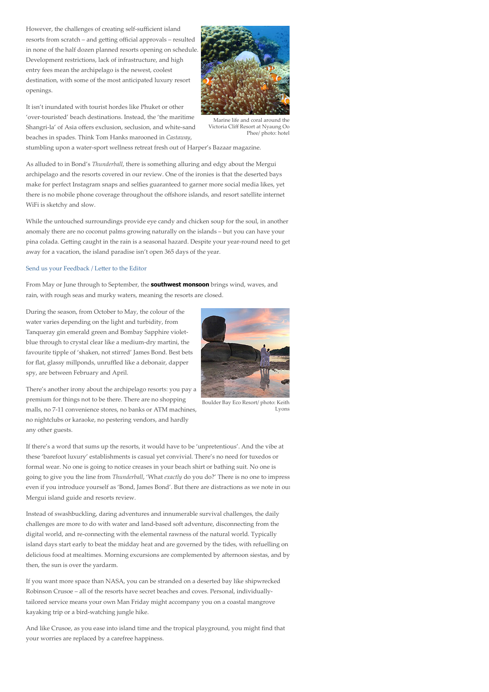However, the challenges of creating self-sufficient island resorts from scratch – and getting official approvals – resulted in none of the half dozen planned resorts opening on schedule. Development restrictions, lack of infrastructure, and high entry fees mean the archipelago is the newest, coolest destination, with some of the most anticipated luxury resort openings.

It isn't inundated with tourist hordes like Phuket or other 'over-touristed' beach destinations. Instead, the 'the maritime Shangri-la' of Asia offers exclusion, seclusion, and white-sand beaches in spades. Think Tom Hanks marooned in *Castaway*,



Marine life and coral around the Victoria Cliff Resort at Nyaung Oo Phee/ photo: hotel

stumbling upon a water-sport wellness retreat fresh out of Harper's Bazaar magazine.

As alluded to in Bond's *Thunderball*, there is something alluring and edgy about the Mergui archipelago and the resorts covered in our review. One of the ironies is that the deserted bays make for perfect Instagram snaps and selfies guaranteed to garner more social media likes, yet there is no mobile phone coverage throughout the offshore islands, and resort satellite internet WiFi is sketchy and slow.

While the untouched surroundings provide eye candy and chicken soup for the soul, in another anomaly there are no coconut palms growing naturally on the islands – but you can have your pina colada. Getting caught in the rain is a seasonal hazard. Despite your year-round need to get away for a vacation, the island paradise isn't open 365 days of the year.

### Send us your Feedback / Letter to the Editor

From May or June through to September, the **southwest monsoon** brings wind, waves, and rain, with rough seas and murky waters, meaning the resorts are closed.

During the season, from October to May, the colour of the water varies depending on the light and turbidity, from Tanqueray gin emerald green and Bombay Sapphire violetblue through to crystal clear like a medium-dry martini, the favourite tipple of 'shaken, not stirred' James Bond. Best bets for flat, glassy millponds, unruffled like a debonair, dapper spy, are between February and April.



Boulder Bay Eco Resort/ photo: Keith Lyons

There's another irony about the archipelago resorts: you pay a premium for things not to be there. There are no shopping malls, no 7-11 convenience stores, no banks or ATM machines, no nightclubs or karaoke, no pestering vendors, and hardly any other guests.

If there's a word that sums up the resorts, it would have to be 'unpretentious'. And the vibe at these 'barefoot luxury' establishments is casual yet convivial. There's no need for tuxedos or formal wear. No one is going to notice creases in your beach shirt or bathing suit. No one is going to give you the line from *Thunderball*, 'What *exactly* do you do?' There is no one to impress even if you introduce yourself as 'Bond, James Bond'. But there are distractions as we note in our Mergui island guide and resorts review.

Instead of swashbuckling, daring adventures and innumerable survival challenges, the daily challenges are more to do with water and land-based soft adventure, disconnecting from the digital world, and re-connecting with the elemental rawness of the natural world. Typically island days start early to beat the midday heat and are governed by the tides, with refuelling on delicious food at mealtimes. Morning excursions are complemented by afternoon siestas, and by then, the sun is over the yardarm.

If you want more space than NASA, you can be stranded on a deserted bay like shipwrecked Robinson Crusoe – all of the resorts have secret beaches and coves. Personal, individuallytailored service means your own Man Friday might accompany you on a coastal mangrove kayaking trip or a bird-watching jungle hike.

And like Crusoe, as you ease into island time and the tropical playground, you might find that your worries are replaced by a carefree happiness.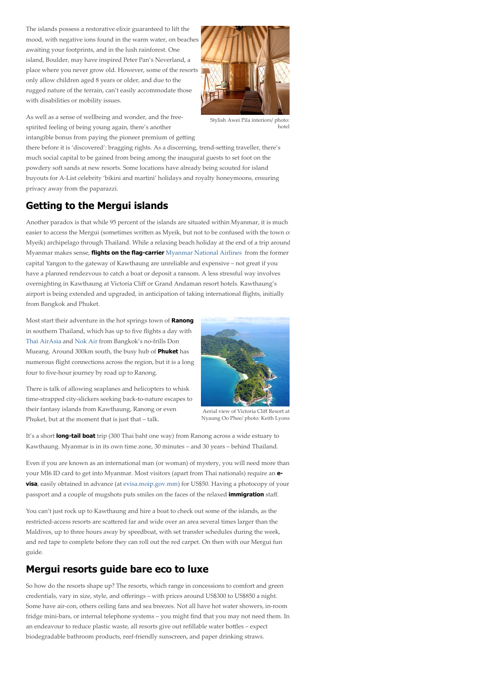The islands possess a restorative elixir guaranteed to lift the mood, with negative ions found in the warm water, on beaches awaiting your footprints, and in the lush rainforest. One island, Boulder, may have inspired Peter Pan's Neverland, a place where you never grow old. However, some of the resorts only allow children aged 8 years or older, and due to the rugged nature of the terrain, can't easily accommodate those with disabilities or mobility issues.



As well as a sense of wellbeing and wonder, and the freespirited feeling of being young again, there's another intangible bonus from paying the pioneer premium of getting

Stylish Awei Pila interiors/ photo: hotel

there before it is 'discovered': bragging rights. As a discerning, trend-setting traveller, there's much social capital to be gained from being among the inaugural guests to set foot on the powdery soft sands at new resorts. Some locations have already being scouted for island buyouts for A-List celebrity 'bikini and martini' holidays and royalty honeymoons, ensuring privacy away from the paparazzi.

# Getting to the Mergui islands

Another paradox is that while 95 percent of the islands are situated within Myanmar, it is much easier to access the Mergui (sometimes written as Myeik, but not to be confused with the town of Myeik) archipelago through Thailand. While a relaxing beach holiday at the end of a trip around Myanmar makes sense, *flights on the flag-carrier [Myanmar National Airlines](https://www.flymna.com/) from the former* capital Yangon to the gateway of Kawthaung are unreliable and expensive – not great if you have a planned rendezvous to catch a boat or deposit a ransom. A less stressful way involves overnighting in Kawthaung at Victoria Cliff or Grand Andaman resort hotels. Kawthaung's airport is being extended and upgraded, in anticipation of taking international flights, initially from Bangkok and Phuket.

Most start their adventure in the hot springs town of Ranong in southern Thailand, which has up to five flights a day with [Thai AirAsia](https://www.airasia.com/booking/home/en/gb) and [Nok Air](https://www.nokair.com/) from Bangkok's no-frills Don Mueang. Around 300km south, the busy hub of Phuket has numerous flight connections across the region, but it is a long four to five-hour journey by road up to Ranong.

There is talk of allowing seaplanes and helicopters to whisk time-strapped city-slickers seeking back-to-nature escapes to their fantasy islands from Kawthaung, Ranong or even Phuket, but at the moment that is just that – talk.



Aerial view of Victoria Cliff Resort at Nyaung Oo Phee/ photo: Keith Lyons

It's a short long-tail boat trip (300 Thai baht one way) from Ranong across a wide estuary to Kawthaung. Myanmar is in its own time zone, 30 minutes – and 30 years – behind Thailand.

Even if you are known as an international man (or woman) of mystery, you will need more than your MI6 ID card to get into Myanmar. Most visitors (apart from Thai nationals) require an **evisa**, easily obtained in advance (at [evisa.moip.gov.mm\)](https://evisa.moip.gov.mm/) for US\$50. Having a photocopy of your passport and a couple of mugshots puts smiles on the faces of the relaxed *immigration* staff.

You can't just rock up to Kawthaung and hire a boat to check out some of the islands, as the restricted-access resorts are scattered far and wide over an area several times larger than the Maldives, up to three hours away by speedboat, with set transfer schedules during the week, and red tape to complete before they can roll out the red carpet. On then with our Mergui fun guide.

## Mergui resorts guide bare eco to luxe

So how do the resorts shape up? The resorts, which range in concessions to comfort and green credentials, vary in size, style, and offerings – with prices around US\$300 to US\$850 a night. Some have air-con, others ceiling fans and sea breezes. Not all have hot water showers, in-room fridge mini-bars, or internal telephone systems – you might find that you may not need them. In an endeavour to reduce plastic waste, all resorts give out refillable water bottles - expect biodegradable bathroom products, reef-friendly sunscreen, and paper drinking straws.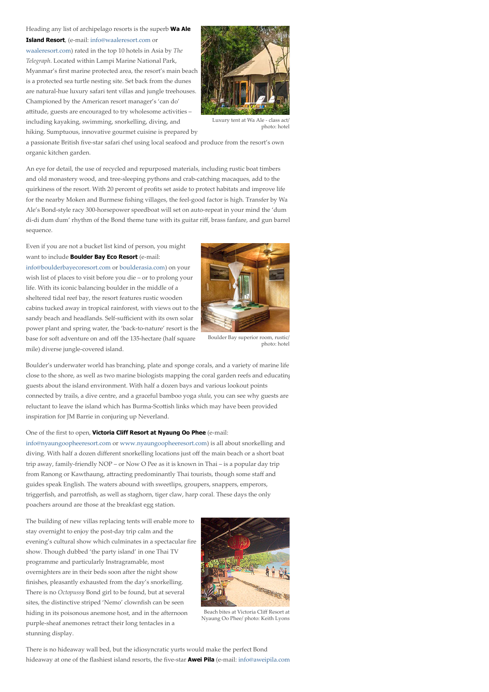Heading any list of archipelago resorts is the superb Wa Ale Island Resort, (e-mail: [info@waaleresort.com](mailto:info@waaleresort.com) or [waaleresort.com\)](https://waaleresort.com/) rated in the top 10 hotels in Asia by *The Telegraph*. Located within Lampi Marine National Park, Myanmar's first marine protected area, the resort's main beach is a protected sea turtle nesting site. Set back from the dunes are natural-hue luxury safari tent villas and jungle treehouses. Championed by the American resort manager's 'can do' attitude, guests are encouraged to try wholesome activities including kayaking, swimming, snorkelling, diving, and



photo: hotel

hiking. Sumptuous, innovative gourmet cuisine is prepared by

a passionate British five-star safari chef using local seafood and produce from the resort's own organic kitchen garden.

An eye for detail, the use of recycled and repurposed materials, including rustic boat timbers and old monastery wood, and tree-sleeping pythons and crab-catching macaques, add to the quirkiness of the resort. With 20 percent of profits set aside to protect habitats and improve life for the nearby Moken and Burmese fishing villages, the feel-good factor is high. Transfer by Wa Ale's Bond-style racy 300-horsepower speedboat will set on auto-repeat in your mind the 'dum di-di dum dum' rhythm of the Bond theme tune with its guitar riff, brass fanfare, and gun barrel sequence.

Even if you are not a bucket list kind of person, you might want to include **Boulder Bay Eco Resort** (e-mail:

[info@boulderbayecoresort.com](mailto:info@boulderbayecoresort.com) or [boulderasia.com](https://boulderasia.com/)) on your wish list of places to visit before you die – or to prolong your life. With its iconic balancing boulder in the middle of a sheltered tidal reef bay, the resort features rustic wooden cabins tucked away in tropical rainforest, with views out to the sandy beach and headlands. Self-sufficient with its own solar power plant and spring water, the 'back-to-nature' resort is the base for soft adventure on and off the 135-hectare (half square mile) diverse jungle-covered island.



Boulder Bay superior room, rustic/ photo: hotel

Boulder's underwater world has branching, plate and sponge corals, and a variety of marine life close to the shore, as well as two marine biologists mapping the coral garden reefs and educating guests about the island environment. With half a dozen bays and various lookout points connected by trails, a dive centre, and a graceful bamboo yoga *shala*, you can see why guests are reluctant to leave the island which has Burma-Scottish links which may have been provided inspiration for JM Barrie in conjuring up Neverland.

#### One of the first to open, Victoria Cliff Resort at Nyaung Oo Phee (e-mail:

[info@nyaungoopheeresort.com](mailto:info@nyaungoopheeresort.com) or [www.nyaungoopheeresort.com](https://www.nyaungoopheeresort.com/)) is all about snorkelling and diving. With half a dozen different snorkelling locations just off the main beach or a short boat trip away, family-friendly NOP – or Now O Pee as it is known in Thai – is a popular day trip from Ranong or Kawthaung, attracting predominantly Thai tourists, though some staff and guides speak English. The waters abound with sweetlips, groupers, snappers, emperors, triggerfish, and parrotfish, as well as staghorn, tiger claw, harp coral. These days the only poachers around are those at the breakfast egg station.

The building of new villas replacing tents will enable more to stay overnight to enjoy the post-day trip calm and the evening's cultural show which culminates in a spectacular fire show. Though dubbed 'the party island' in one Thai TV programme and particularly Instragramable, most overnighters are in their beds soon after the night show finishes, pleasantly exhausted from the day's snorkelling. There is no *Octopussy* Bond girl to be found, but at several sites, the distinctive striped 'Nemo' clownfish can be seen hiding in its poisonous anemone host, and in the afternoon purple-sheaf anemones retract their long tentacles in a stunning display.



Beach bites at Victoria Cliff Resort at Nyaung Oo Phee/ photo: Keith Lyons

There is no hideaway wall bed, but the idiosyncratic yurts would make the perfect Bond hideaway at one of the flashiest island resorts, the five-star **Awei Pila** (e-mail: [info@aweipila.com](mailto:info@aweipila.com)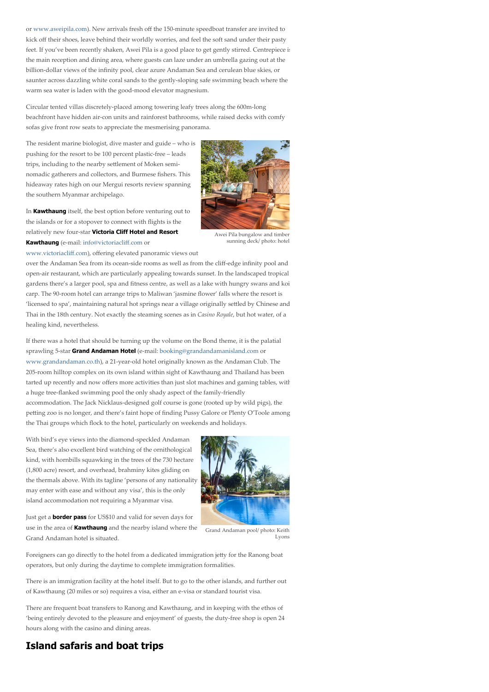or [www.aweipila.com](https://www.aweipila.com/hotel-myanmar/awei-pila-resort-mergui-archipelago)). New arrivals fresh off the 150-minute speedboat transfer are invited to kick off their shoes, leave behind their worldly worries, and feel the soft sand under their pasty feet. If you've been recently shaken, Awei Pila is a good place to get gently stirred. Centrepiece is the main reception and dining area, where guests can laze under an umbrella gazing out at the billion-dollar views of the infinity pool, clear azure Andaman Sea and cerulean blue skies, or saunter across dazzling white coral sands to the gently-sloping safe swimming beach where the warm sea water is laden with the good-mood elevator magnesium.

Circular tented villas discretely-placed among towering leafy trees along the 600m-long beachfront have hidden air-con units and rainforest bathrooms, while raised decks with comfy sofas give front row seats to appreciate the mesmerising panorama.

The resident marine biologist, dive master and guide – who is pushing for the resort to be 100 percent plastic-free – leads trips, including to the nearby settlement of Moken seminomadic gatherers and collectors, and Burmese fishers. This hideaway rates high on our Mergui resorts review spanning the southern Myanmar archipelago.





Awei Pila bungalow and timber sunning deck/ photo: hotel

over the Andaman Sea from its ocean-side rooms as well as from the cliff-edge infinity pool and open-air restaurant, which are particularly appealing towards sunset. In the landscaped tropical gardens there's a larger pool, spa and fitness centre, as well as a lake with hungry swans and koi carp. The 90-room hotel can arrange trips to Maliwan 'jasmine flower' falls where the resort is 'licensed to spa', maintaining natural hot springs near a village originally settled by Chinese and Thai in the 18th century. Not exactly the steaming scenes as in *Casino Royale*, but hot water, of a healing kind, nevertheless.

If there was a hotel that should be turning up the volume on the Bond theme, it is the palatial sprawling 5-star Grand Andaman Hotel (e-mail: [booking@grandandamanisland.com](mailto:booking@grandandamanisland.com) or [www.grandandaman.co.th](http://www.grandandaman.co.th/index.html)), a 21-year-old hotel originally known as the Andaman Club. The 205-room hilltop complex on its own island within sight of Kawthaung and Thailand has been tarted up recently and now offers more activities than just slot machines and gaming tables, with a huge tree-flanked swimming pool the only shady aspect of the family-friendly accommodation. The Jack Nicklaus-designed golf course is gone (rooted up by wild pigs), the petting zoo is no longer, and there's faint hope of finding Pussy Galore or Plenty O'Toole among the Thai groups which flock to the hotel, particularly on weekends and holidays.

With bird's eye views into the diamond-speckled Andaman Sea, there's also excellent bird watching of the ornithological kind, with hornbills squawking in the trees of the 730 hectare (1,800 acre) resort, and overhead, brahminy kites gliding on the thermals above. With its tagline 'persons of any nationality may enter with ease and without any visa', this is the only island accommodation not requiring a Myanmar visa.



Just get a **border pass** for US\$10 and valid for seven days for use in the area of **Kawthaung** and the nearby island where the Grand Andaman hotel is situated.

Grand Andaman pool/ photo: Keith Lyons

Foreigners can go directly to the hotel from a dedicated immigration jetty for the Ranong boat operators, but only during the daytime to complete immigration formalities.

There is an immigration facility at the hotel itself. But to go to the other islands, and further out of Kawthaung (20 miles or so) requires a visa, either an e-visa or standard tourist visa.

There are frequent boat transfers to Ranong and Kawthaung, and in keeping with the ethos of 'being entirely devoted to the pleasure and enjoyment' of guests, the duty-free shop is open 24 hours along with the casino and dining areas.

### Island safaris and boat trips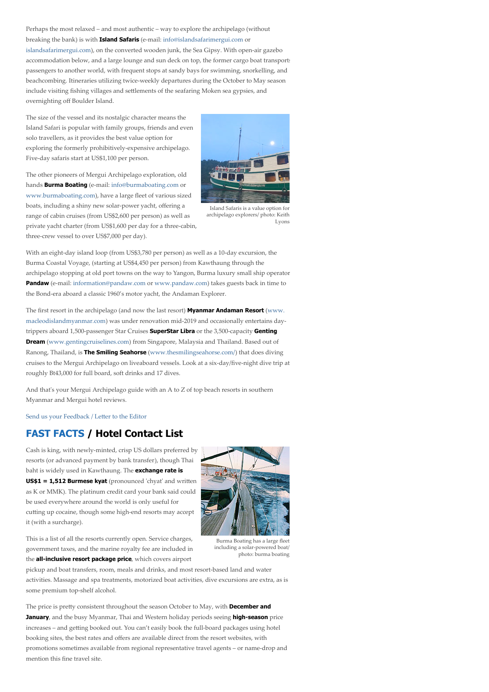Perhaps the most relaxed – and most authentic – way to explore the archipelago (without breaking the bank) is with **Island Safaris** (e-mail: [info@islandsafarimergui.com](mailto:info@islandsafarimergui.com) or [islandsafarimergui.com\)](https://islandsafarimergui.com/), on the converted wooden junk, the Sea Gipsy. With open-air gazebo accommodation below, and a large lounge and sun deck on top, the former cargo boat transports passengers to another world, with frequent stops at sandy bays for swimming, snorkelling, and beachcombing. Itineraries utilizing twice-weekly departures during the October to May season include visiting fishing villages and settlements of the seafaring Moken sea gypsies, and overnighting off Boulder Island.

The size of the vessel and its nostalgic character means the Island Safari is popular with family groups, friends and even solo travellers, as it provides the best value option for exploring the formerly prohibitively-expensive archipelago. Five-day safaris start at US\$1,100 per person.

The other pioneers of Mergui Archipelago exploration, old hands **Burma Boating** (e-mail: [info@burmaboating.com](mailto:info@burmaboating.com) or [www.burmaboating.com](https://www.burmaboating.com/)), have a large fleet of various sized boats, including a shiny new solar-power yacht, offering a range of cabin cruises (from US\$2,600 per person) as well as private yacht charter (from US\$1,600 per day for a three-cabin, three-crew vessel to over US\$7,000 per day).



Island Safaris is a value option for archipelago explorers/ photo: Keith Lyons

With an eight-day island loop (from US\$3,780 per person) as well as a 10-day excursion, the Burma Coastal Voyage, (starting at US\$4,450 per person) from Kawthaung through the archipelago stopping at old port towns on the way to Yangon, Burma luxury small ship operator Pandaw (e-mail: [information@pandaw.com](mailto:information@pandaw.com) or [www.pandaw.com\)](https://www.pandaw.com/) takes guests back in time to the Bond-era aboard a classic 1960's motor yacht, the Andaman Explorer.

The first resort in the archipelago (and now the last resort) **Myanmar Andaman Resort** (www. [macleodislandmyanmar.com\) was under renovation mid-2019 and occasionally entertains day](https://macleodislandmyanmar.com/)trippers aboard 1,500-passenger Star Cruises SuperStar Libra or the 3,500-capacity Genting **Dream** ([www.gentingcruiselines.com\)](http://www.gentingcruiselines.com/) from Singapore, Malaysia and Thailand. Based out of Ranong, Thailand, is The Smiling Seahorse ([www.thesmilingseahorse.com/\)](https://www.thesmilingseahorse.com/) that does diving cruises to the Mergui Archipelago on liveaboard vessels. Look at a six-day/five-night dive trip at roughly Bt43,000 for full board, soft drinks and 17 dives.

And that's your Mergui Archipelago guide with an A to Z of top beach resorts in southern Myanmar and Mergui hotel reviews.

Send us your Feedback / Letter to the Editor

### <span id="page-5-0"></span>FAST FACTS / Hotel Contact List

Cash is king, with newly-minted, crisp US dollars preferred by resorts (or advanced payment by bank transfer), though Thai baht is widely used in Kawthaung. The **exchange rate is**  $US$1 = 1,512$  Burmese kyat (pronounced 'chyat' and written as K or MMK). The platinum credit card your bank said could be used everywhere around the world is only useful for cutting up cocaine, though some high-end resorts may accept it (with a surcharge).



This is a list of all the resorts currently open. Service charges, government taxes, and the marine royalty fee are included in the **all-inclusive resort package price**, which covers airport

Burma Boating has a large fleet including a solar-powered boat/ photo: burma boating

pickup and boat transfers, room, meals and drinks, and most resort-based land and water activities. Massage and spa treatments, motorized boat activities, dive excursions are extra, as is some premium top-shelf alcohol.

The price is pretty consistent throughout the season October to May, with **December and** January, and the busy Myanmar, Thai and Western holiday periods seeing high-season price increases – and getting booked out. You can't easily book the full-board packages using hotel booking sites, the best rates and offers are available direct from the resort websites, with promotions sometimes available from regional representative travel agents – or name-drop and mention this fine travel site.